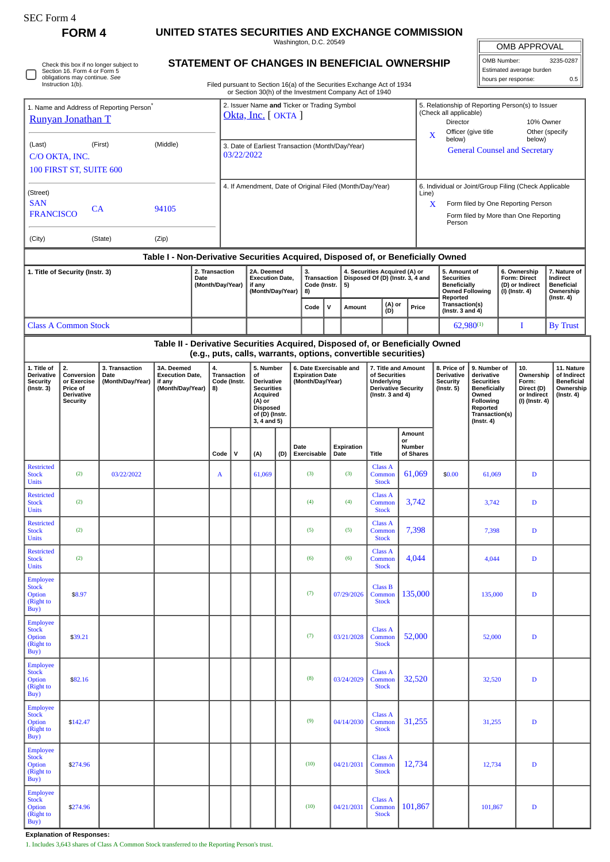| OMB Number:              | 3235-0287 |
|--------------------------|-----------|
| Estimated average burden |           |
| hours per response:      | 0.5       |

|                                                                                                              | <b>FORM4</b>                                                                        |                                                      | UNITED STATES SECURITIES AND EXCHANGE COMMISSION                                                |  |                                         |   |                                                                                                                                     |                                                                        |  | Washington, D.C. 20549                                                                                                                                                                                        |              |                                                                                                                                                                                                       |                                                                                                     |                                                                                                                                                              |  |                                                                                                |                                                                                                                                          |                                                                            | OMB APPROVAL                                                             |                                                          |  |
|--------------------------------------------------------------------------------------------------------------|-------------------------------------------------------------------------------------|------------------------------------------------------|-------------------------------------------------------------------------------------------------|--|-----------------------------------------|---|-------------------------------------------------------------------------------------------------------------------------------------|------------------------------------------------------------------------|--|---------------------------------------------------------------------------------------------------------------------------------------------------------------------------------------------------------------|--------------|-------------------------------------------------------------------------------------------------------------------------------------------------------------------------------------------------------|-----------------------------------------------------------------------------------------------------|--------------------------------------------------------------------------------------------------------------------------------------------------------------|--|------------------------------------------------------------------------------------------------|------------------------------------------------------------------------------------------------------------------------------------------|----------------------------------------------------------------------------|--------------------------------------------------------------------------|----------------------------------------------------------|--|
|                                                                                                              | Section 16. Form 4 or Form 5<br>obligations may continue. See<br>Instruction 1(b).  | Check this box if no longer subject to               |                                                                                                 |  |                                         |   |                                                                                                                                     | Filed pursuant to Section 16(a) of the Securities Exchange Act of 1934 |  | STATEMENT OF CHANGES IN BENEFICIAL OWNERSHIP                                                                                                                                                                  |              |                                                                                                                                                                                                       |                                                                                                     | OMB Number:<br>3235-02<br>Estimated average burden<br>hours per response:                                                                                    |  |                                                                                                |                                                                                                                                          |                                                                            |                                                                          |                                                          |  |
|                                                                                                              | Runyan Jonathan T                                                                   | 1. Name and Address of Reporting Person <sup>®</sup> |                                                                                                 |  |                                         |   | Okta, Inc. [ OKTA ]                                                                                                                 |                                                                        |  | or Section 30(h) of the Investment Company Act of 1940<br>2. Issuer Name and Ticker or Trading Symbol                                                                                                         |              |                                                                                                                                                                                                       | 5. Relationship of Reporting Person(s) to Issuer<br>(Check all applicable)<br>Director<br>10% Owner |                                                                                                                                                              |  |                                                                                                |                                                                                                                                          |                                                                            |                                                                          |                                                          |  |
| (Middle)<br>(Last)<br>(First)<br>C/O OKTA, INC.<br>100 FIRST ST, SUITE 600                                   |                                                                                     |                                                      |                                                                                                 |  |                                         |   | 03/22/2022                                                                                                                          |                                                                        |  | 3. Date of Earliest Transaction (Month/Day/Year)                                                                                                                                                              |              |                                                                                                                                                                                                       |                                                                                                     | Officer (give title<br>Other (specify<br>$\mathbf X$<br>below)<br>below)<br><b>General Counsel and Secretary</b>                                             |  |                                                                                                |                                                                                                                                          |                                                                            |                                                                          |                                                          |  |
| (Street)<br><b>SAN</b><br>CA<br>94105<br><b>FRANCISCO</b>                                                    |                                                                                     |                                                      |                                                                                                 |  |                                         |   |                                                                                                                                     |                                                                        |  |                                                                                                                                                                                                               |              | 4. If Amendment, Date of Original Filed (Month/Day/Year)                                                                                                                                              |                                                                                                     | 6. Individual or Joint/Group Filing (Check Applicable<br>Line)<br>X<br>Form filed by One Reporting Person<br>Form filed by More than One Reporting<br>Person |  |                                                                                                |                                                                                                                                          |                                                                            |                                                                          |                                                          |  |
| (City)                                                                                                       |                                                                                     | (State)                                              |                                                                                                 |  |                                         |   |                                                                                                                                     |                                                                        |  |                                                                                                                                                                                                               |              |                                                                                                                                                                                                       |                                                                                                     |                                                                                                                                                              |  |                                                                                                |                                                                                                                                          |                                                                            |                                                                          |                                                          |  |
| 2. Transaction<br>1. Title of Security (Instr. 3)<br>Date<br>(Month/Day/Year)<br><b>Class A Common Stock</b> |                                                                                     |                                                      |                                                                                                 |  |                                         |   | 2A. Deemed<br><b>Execution Date,</b><br>if any<br>(Month/Day/Year)                                                                  |                                                                        |  | Table I - Non-Derivative Securities Acquired, Disposed of, or Beneficially Owned<br>3.<br>4. Securities Acquired (A) or<br><b>Transaction</b><br>Disposed Of (D) (Instr. 3, 4 and<br>Code (Instr.<br>5)<br>8) |              |                                                                                                                                                                                                       |                                                                                                     |                                                                                                                                                              |  | 5. Amount of<br><b>Securities</b><br><b>Beneficially</b><br><b>Owned Following</b><br>Reported |                                                                                                                                          | 6. Ownership<br><b>Form: Direct</b><br>(D) or Indirect<br>$(I)$ (Instr. 4) |                                                                          | 7. Natur<br>Indirect<br>Benefici<br>Owners<br>(Instr. 4) |  |
|                                                                                                              |                                                                                     |                                                      |                                                                                                 |  |                                         |   |                                                                                                                                     |                                                                        |  | Code                                                                                                                                                                                                          | $\mathsf{v}$ | Amount                                                                                                                                                                                                | (A) or<br>(D)                                                                                       | Price                                                                                                                                                        |  | Transaction(s)<br>(Instr. $3$ and $4$ )                                                        |                                                                                                                                          |                                                                            |                                                                          |                                                          |  |
|                                                                                                              |                                                                                     |                                                      | $62,980^{(1)}$<br>Table II - Derivative Securities Acquired, Disposed of, or Beneficially Owned |  |                                         |   |                                                                                                                                     |                                                                        |  |                                                                                                                                                                                                               |              |                                                                                                                                                                                                       |                                                                                                     | T<br>By Tru                                                                                                                                                  |  |                                                                                                |                                                                                                                                          |                                                                            |                                                                          |                                                          |  |
| 1. Title of<br>Derivative<br><b>Security</b><br>$($ Instr. 3 $)$                                             | 2.<br>Conversion<br>or Exercise<br>Price of<br><b>Derivative</b><br><b>Security</b> | 3. Transaction<br>Date<br>(Month/Day/Year)           | 3A. Deemed<br><b>Execution Date,</b><br>if any<br>(Month/Day/Year)                              |  | 4.<br>Transaction<br>Code (Instr.<br>8) |   | 5. Number<br>of<br><b>Derivative</b><br><b>Securities</b><br>Acquired<br>(A) or<br><b>Disposed</b><br>of (D) (Instr.<br>3, 4 and 5) |                                                                        |  | <b>Expiration Date</b><br>(Month/Day/Year)                                                                                                                                                                    |              | (e.g., puts, calls, warrants, options, convertible securities)<br>6. Date Exercisable and<br>7. Title and Amount<br>of Securities<br>Underlying<br><b>Derivative Security</b><br>( $lnstr. 3 and 4$ ) |                                                                                                     |                                                                                                                                                              |  | 8. Price of<br><b>Derivative</b><br><b>Security</b><br>$($ Instr. 5 $)$                        | 9. Number of<br>derivative<br><b>Securities</b><br><b>Beneficially</b><br>Owned<br>Following<br>Reported<br>Transaction(s)<br>(Instr. 4) |                                                                            | 10.<br>Ownership<br>Form:<br>Direct (D)<br>or Indirect<br>(I) (Instr. 4) | 11. N<br>of Inc<br><b>Bene</b><br>Owne<br>(Instr         |  |
|                                                                                                              |                                                                                     |                                                      |                                                                                                 |  | Code                                    | v | (A)                                                                                                                                 | (D)                                                                    |  | Date<br>Exercisable                                                                                                                                                                                           |              | Expiration<br>Date                                                                                                                                                                                    | <b>Title</b>                                                                                        | Amount<br>or<br>Number<br>of Shares                                                                                                                          |  |                                                                                                |                                                                                                                                          |                                                                            |                                                                          |                                                          |  |
| <b>Restricted</b><br><b>Stock</b><br><b>Units</b>                                                            | (2)                                                                                 | 03/22/2022                                           |                                                                                                 |  | A                                       |   | 61,069                                                                                                                              |                                                                        |  | (3)                                                                                                                                                                                                           |              | (3)                                                                                                                                                                                                   | <b>Class A</b><br>Common<br><b>Stock</b>                                                            | 61.069                                                                                                                                                       |  | \$0.00                                                                                         |                                                                                                                                          | 61,069<br>D                                                                |                                                                          |                                                          |  |
| <b>Restricted</b><br><b>Stock</b><br><b>Units</b>                                                            | (2)                                                                                 |                                                      |                                                                                                 |  |                                         |   |                                                                                                                                     |                                                                        |  | (4)                                                                                                                                                                                                           |              | (4)                                                                                                                                                                                                   | <b>Class A</b><br>Common<br><b>Stock</b>                                                            | 3,742                                                                                                                                                        |  |                                                                                                | 3,742                                                                                                                                    |                                                                            | D                                                                        |                                                          |  |
| <b>Restricted</b><br><b>Stock</b><br><b>Units</b>                                                            | (2)                                                                                 |                                                      |                                                                                                 |  |                                         |   |                                                                                                                                     |                                                                        |  | (5)                                                                                                                                                                                                           |              | (5)                                                                                                                                                                                                   | Class A<br>Common<br><b>Stock</b>                                                                   | 7,398                                                                                                                                                        |  |                                                                                                | 7,398                                                                                                                                    |                                                                            | D                                                                        |                                                          |  |
| <b>Restricted</b><br><b>Stock</b><br><b>Units</b>                                                            | (2)                                                                                 |                                                      |                                                                                                 |  |                                         |   |                                                                                                                                     |                                                                        |  | (6)                                                                                                                                                                                                           |              | (6)                                                                                                                                                                                                   | <b>Class A</b><br>Common<br><b>Stock</b>                                                            | 4,044                                                                                                                                                        |  |                                                                                                | 4,044                                                                                                                                    |                                                                            | D                                                                        |                                                          |  |
| <b>Employee</b><br><b>Stock</b><br><b>Option</b><br>(Right to<br>Buy)                                        | \$8.97                                                                              |                                                      |                                                                                                 |  |                                         |   |                                                                                                                                     |                                                                        |  | (7)                                                                                                                                                                                                           |              | 07/29/2026                                                                                                                                                                                            | Class B<br>Common<br><b>Stock</b>                                                                   | 135,000                                                                                                                                                      |  |                                                                                                | 135,000                                                                                                                                  | D                                                                          |                                                                          |                                                          |  |
| <b>Employee</b><br><b>Stock</b><br>Option<br>(Right to<br>Buy)                                               | \$39.21                                                                             |                                                      |                                                                                                 |  |                                         |   |                                                                                                                                     |                                                                        |  | (7)                                                                                                                                                                                                           |              | 03/21/2028                                                                                                                                                                                            | Class A<br>Common<br><b>Stock</b>                                                                   | 52,000                                                                                                                                                       |  |                                                                                                |                                                                                                                                          | $\mathbf D$<br>52,000                                                      |                                                                          |                                                          |  |

| <b>SAN</b><br><b>FRANCISCO</b>                                                | <b>CA</b>                                                          |                                                |                  |              |                                                                                                                              |  |                                                                       |  |                                                                                                                                                                                                                                                             |                                                                                                                                                                           |            |                                                                         |                                                                                                                                                 | X<br>Person                   |                                                                          |                                                                           | Form filed by One Reporting Person<br>Form filed by More than One Reporting |                                                                          |  |
|-------------------------------------------------------------------------------|--------------------------------------------------------------------|------------------------------------------------|------------------|--------------|------------------------------------------------------------------------------------------------------------------------------|--|-----------------------------------------------------------------------|--|-------------------------------------------------------------------------------------------------------------------------------------------------------------------------------------------------------------------------------------------------------------|---------------------------------------------------------------------------------------------------------------------------------------------------------------------------|------------|-------------------------------------------------------------------------|-------------------------------------------------------------------------------------------------------------------------------------------------|-------------------------------|--------------------------------------------------------------------------|---------------------------------------------------------------------------|-----------------------------------------------------------------------------|--------------------------------------------------------------------------|--|
| (City)                                                                        |                                                                    | (State)                                        |                  |              |                                                                                                                              |  |                                                                       |  |                                                                                                                                                                                                                                                             |                                                                                                                                                                           |            |                                                                         |                                                                                                                                                 |                               |                                                                          |                                                                           |                                                                             |                                                                          |  |
| 2. Transaction<br>1. Title of Security (Instr. 3)<br>Date<br>(Month/Day/Year) |                                                                    |                                                |                  |              |                                                                                                                              |  | 2A. Deemed<br><b>Execution Date,</b><br>if any<br>(Month/Day/Year)    |  | 3.<br>Code (Instr.<br>8)                                                                                                                                                                                                                                    | Table I - Non-Derivative Securities Acquired, Disposed of, or Beneficially Owned<br>4. Securities Acquired (A) or<br>Transaction   Disposed Of (D) (Instr. 3, 4 and<br>5) |            |                                                                         |                                                                                                                                                 | <b>Securities</b><br>Reported | 5. Amount of<br><b>Beneficially</b><br><b>Owned Following</b>            |                                                                           | 6. Ownership<br>Form: Direct<br>(D) or Indirect<br>(I) (Instr. 4)           | 7. Nature of<br>Indirect<br><b>Beneficial</b><br>Ownership<br>(Instr. 4) |  |
|                                                                               |                                                                    |                                                |                  |              |                                                                                                                              |  |                                                                       |  | $\mathsf{v}$<br>Code                                                                                                                                                                                                                                        |                                                                                                                                                                           | Amount     |                                                                         | (A) or<br>(D)                                                                                                                                   | Price                         | Transaction(s)<br>(Instr. $3$ and $4$ )                                  |                                                                           |                                                                             |                                                                          |  |
| <b>Class A Common Stock</b>                                                   |                                                                    |                                                |                  |              |                                                                                                                              |  |                                                                       |  |                                                                                                                                                                                                                                                             |                                                                                                                                                                           |            |                                                                         |                                                                                                                                                 | $62,980^{(1)}$                |                                                                          | Ι                                                                         |                                                                             | <b>By Trust</b>                                                          |  |
| 1. Title of<br>Derivative<br>Security<br>(Instr. 3)                           | 3A. Deemed<br><b>Execution Date,</b><br>if any<br>(Month/Day/Year) | 4.<br><b>Transaction</b><br>Code (Instr.<br>8) |                  |              | 5. Number<br>of<br>Derivative<br><b>Securities</b><br>Acquired<br>(A) or<br><b>Disposed</b><br>of (D) (Instr.<br>3, 4 and 5) |  | 6. Date Exercisable and<br><b>Expiration Date</b><br>(Month/Day/Year) |  | Table II - Derivative Securities Acquired, Disposed of, or Beneficially Owned<br>(e.g., puts, calls, warrants, options, convertible securities)<br>7. Title and Amount<br>of Securities<br>Underlying<br><b>Derivative Security</b><br>( $lnstr. 3 and 4$ ) |                                                                                                                                                                           |            | 8. Price of<br><b>Derivative</b><br><b>Security</b><br>$($ Instr. 5 $)$ | 9. Number of<br>derivative<br><b>Securities</b><br><b>Beneficially</b><br>Owned<br><b>Following</b><br>Reported<br>Transaction(s)<br>(Instr. 4) |                               | 10.<br>Ownership<br>Form:<br>Direct (D)<br>or Indirect<br>(I) (Instr. 4) | 11. Nature<br>of Indirect<br><b>Beneficial</b><br>Ownership<br>(Instr. 4) |                                                                             |                                                                          |  |
|                                                                               |                                                                    |                                                | v<br>Code<br>(A) |              |                                                                                                                              |  |                                                                       |  | Date<br>Exercisable                                                                                                                                                                                                                                         | Date                                                                                                                                                                      | Expiration | Title                                                                   | or                                                                                                                                              | Amount<br>Number<br>of Shares |                                                                          |                                                                           |                                                                             |                                                                          |  |
| Restricted<br>Stock<br>Units                                                  | (2)                                                                | 03/22/2022                                     |                  | $\mathbf{A}$ |                                                                                                                              |  | 61,069                                                                |  | (3)                                                                                                                                                                                                                                                         |                                                                                                                                                                           | (3)        | Class A<br>Common<br><b>Stock</b>                                       |                                                                                                                                                 | 61,069                        | \$0.00                                                                   | 61,069                                                                    |                                                                             | $\mathbf D$                                                              |  |
| Restricted<br>Stock<br>Units                                                  | (2)                                                                |                                                |                  |              |                                                                                                                              |  |                                                                       |  | (4)                                                                                                                                                                                                                                                         |                                                                                                                                                                           | (4)        | Class A<br>Common<br><b>Stock</b>                                       |                                                                                                                                                 | 3,742                         |                                                                          | 3,742                                                                     |                                                                             | D                                                                        |  |
| Restricted<br>Stock<br>Units                                                  | (2)                                                                |                                                |                  |              |                                                                                                                              |  |                                                                       |  | (5)                                                                                                                                                                                                                                                         |                                                                                                                                                                           | (5)        | Class A<br>Common<br><b>Stock</b>                                       |                                                                                                                                                 | 7,398                         |                                                                          | 7,398                                                                     |                                                                             | D                                                                        |  |
| <b>Restricted</b><br>Stock<br>Units                                           | (2)                                                                |                                                |                  |              |                                                                                                                              |  |                                                                       |  | (6)                                                                                                                                                                                                                                                         |                                                                                                                                                                           | (6)        | Class A<br>Common<br><b>Stock</b>                                       |                                                                                                                                                 | 4,044                         |                                                                          | 4,044                                                                     |                                                                             | D                                                                        |  |
| Employee<br><b>Stock</b><br>Option<br>(Right to<br>Buy)                       | \$8.97                                                             |                                                |                  |              |                                                                                                                              |  |                                                                       |  | (7)                                                                                                                                                                                                                                                         |                                                                                                                                                                           | 07/29/2026 | Class B<br>Common<br><b>Stock</b>                                       |                                                                                                                                                 | 135,000                       |                                                                          | 135,000                                                                   | $\mathbf D$                                                                 |                                                                          |  |
| Employee<br><b>Stock</b><br>Option<br>(Right to<br>Buy)                       | \$39.21                                                            |                                                |                  |              |                                                                                                                              |  |                                                                       |  | (7)                                                                                                                                                                                                                                                         |                                                                                                                                                                           | 03/21/2028 | Class A<br>Common<br><b>Stock</b>                                       |                                                                                                                                                 | 52,000                        |                                                                          | 52,000                                                                    |                                                                             | $\mathbf D$                                                              |  |
| <b>Employee</b><br><b>Stock</b><br>Option<br>(Right to<br>Buy)                | \$82.16                                                            |                                                |                  |              |                                                                                                                              |  |                                                                       |  | (8)                                                                                                                                                                                                                                                         |                                                                                                                                                                           | 03/24/2029 | Class A<br>Common<br><b>Stock</b>                                       |                                                                                                                                                 | 32,520                        |                                                                          | 32,520                                                                    |                                                                             | $\mathbf D$                                                              |  |
| Employee<br><b>Stock</b><br>Option<br>(Right to<br>Buy)                       | \$142.47                                                           |                                                |                  |              |                                                                                                                              |  |                                                                       |  | (9)                                                                                                                                                                                                                                                         |                                                                                                                                                                           | 04/14/2030 | <b>Class A</b><br>Common<br><b>Stock</b>                                |                                                                                                                                                 | 31,255                        |                                                                          | 31,255                                                                    |                                                                             | D                                                                        |  |
| Employee<br>Stock<br>Option<br>(Right to<br>Buy)                              | \$274.96                                                           |                                                |                  |              |                                                                                                                              |  |                                                                       |  | (10)                                                                                                                                                                                                                                                        |                                                                                                                                                                           | 04/21/2031 | Class A<br>Common<br><b>Stock</b>                                       |                                                                                                                                                 | 12,734                        |                                                                          | 12,734                                                                    |                                                                             | $\mathbf D$                                                              |  |
| Employee<br><b>Stock</b><br>Option<br>(Right to<br>Buy)                       | \$274.96                                                           |                                                |                  |              |                                                                                                                              |  |                                                                       |  | (10)                                                                                                                                                                                                                                                        |                                                                                                                                                                           | 04/21/2031 | Class A<br>Common<br><b>Stock</b>                                       |                                                                                                                                                 | 101,867                       |                                                                          | 101,867                                                                   |                                                                             | $\mathbf D$                                                              |  |

**Explanation of Responses:**

1. Includes 3,643 shares of Class A Common Stock transferred to the Reporting Person's trust.